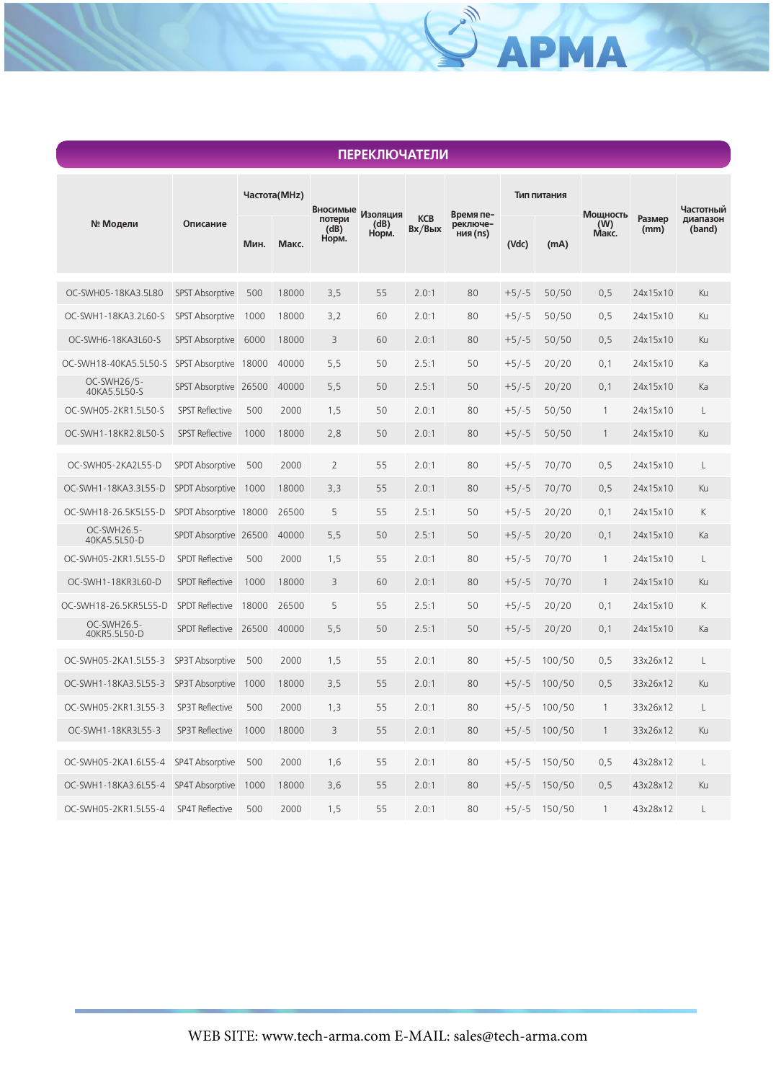| <b>ПЕРЕКЛЮЧАТЕЛИ</b>        |                        |              |       |                                     |                           |                         |                                   |             |        |                          |                |                    |
|-----------------------------|------------------------|--------------|-------|-------------------------------------|---------------------------|-------------------------|-----------------------------------|-------------|--------|--------------------------|----------------|--------------------|
| № Модели                    | Описание               | Частота(MHz) |       |                                     |                           |                         |                                   | Тип питания |        |                          |                | Частотный          |
|                             |                        | Мин.         | Макс. | Вносимые<br>потери<br>(dB)<br>Норм. | Изоляция<br>(dB)<br>Норм. | <b>KCB</b><br>$Bx/B$ ых | Время пе-<br>реключе-<br>ния (ns) | (Vdc)       | (mA)   | Мощность<br>(W)<br>Макс. | Размер<br>(mm) | диапазон<br>(band) |
| OC-SWH05-18KA3.5L80         | <b>SPST Absorptive</b> | 500          | 18000 | 3,5                                 | 55                        | 2.0:1                   | 80                                | $+5/-5$     | 50/50  | 0,5                      | 24x15x10       | Ku                 |
| OC-SWH1-18KA3.2L60-S        | <b>SPST Absorptive</b> | 1000         | 18000 | 3,2                                 | 60                        | 2.0:1                   | 80                                | $+5/-5$     | 50/50  | 0,5                      | 24x15x10       | Ku                 |
| OC-SWH6-18KA3L60-S          | <b>SPST Absorptive</b> | 6000         | 18000 | 3                                   | 60                        | 2.0:1                   | 80                                | $+5/-5$     | 50/50  | 0,5                      | 24x15x10       | Ku                 |
| OC-SWH18-40KA5.5L50-S       | <b>SPST Absorptive</b> | 18000        | 40000 | 5,5                                 | 50                        | 2.5:1                   | 50                                | $+5/-5$     | 20/20  | 0,1                      | 24x15x10       | Ka                 |
| OC-SWH26/5-<br>40KA5.5L50-S | SPST Absorptive 26500  |              | 40000 | 5,5                                 | 50                        | 2.5:1                   | 50                                | $+5/-5$     | 20/20  | 0,1                      | 24x15x10       | Ka                 |
| OC-SWH05-2KR1.5L50-S        | <b>SPST Reflective</b> | 500          | 2000  | 1,5                                 | 50                        | 2.0:1                   | 80                                | $+5/-5$     | 50/50  | $\mathbf{1}$             | 24x15x10       | L                  |
| OC-SWH1-18KR2.8L50-S        | <b>SPST Reflective</b> | 1000         | 18000 | 2,8                                 | 50                        | 2.0:1                   | 80                                | $+5/-5$     | 50/50  | $\mathbf{1}$             | 24x15x10       | Ku                 |
| OC-SWH05-2KA2L55-D          | <b>SPDT Absorptive</b> | 500          | 2000  | $\overline{2}$                      | 55                        | 2.0:1                   | 80                                | $+5/-5$     | 70/70  | 0,5                      | 24x15x10       | $\lfloor$          |
| OC-SWH1-18KA3.3L55-D        | <b>SPDT Absorptive</b> | 1000         | 18000 | 3,3                                 | 55                        | 2.0:1                   | 80                                | $+5/-5$     | 70/70  | 0,5                      | 24x15x10       | Ku                 |
| OC-SWH18-26.5K5L55-D        | SPDT Absorptive 18000  |              | 26500 | 5                                   | 55                        | 2.5:1                   | 50                                | $+5/-5$     | 20/20  | 0,1                      | 24x15x10       | К                  |
| OC-SWH26.5-<br>40KA5.5L50-D | SPDT Absorptive 26500  |              | 40000 | 5,5                                 | 50                        | 2.5:1                   | 50                                | $+5/-5$     | 20/20  | 0,1                      | 24x15x10       | Ka                 |
| OC-SWH05-2KR1.5L55-D        | <b>SPDT Reflective</b> | 500          | 2000  | 1,5                                 | 55                        | 2.0:1                   | 80                                | $+5/-5$     | 70/70  | $\mathbf{1}$             | 24x15x10       | L                  |
| OC-SWH1-18KR3L60-D          | <b>SPDT Reflective</b> | 1000         | 18000 | 3                                   | 60                        | 2.0:1                   | 80                                | $+5/-5$     | 70/70  | $\mathbf{1}$             | 24x15x10       | Ku                 |
| OC-SWH18-26.5KR5L55-D       | <b>SPDT Reflective</b> | 18000        | 26500 | 5                                   | 55                        | 2.5:1                   | 50                                | $+5/-5$     | 20/20  | 0,1                      | 24x15x10       | К                  |
| OC-SWH26.5-<br>40KR5.5L50-D | <b>SPDT Reflective</b> | 26500        | 40000 | 5,5                                 | 50                        | 2.5:1                   | 50                                | $+5/-5$     | 20/20  | 0,1                      | 24x15x10       | Ka                 |
| OC-SWH05-2KA1.5L55-3        | SP3T Absorptive        | 500          | 2000  | 1,5                                 | 55                        | 2.0:1                   | 80                                | $+5/-5$     | 100/50 | 0,5                      | 33x26x12       | L                  |
| OC-SWH1-18KA3.5L55-3        | <b>SP3T Absorptive</b> | 1000         | 18000 | 3,5                                 | 55                        | 2.0:1                   | 80                                | $+5/-5$     | 100/50 | 0,5                      | 33x26x12       | Ku                 |
| OC-SWH05-2KR1.3L55-3        | <b>SP3T Reflective</b> | 500          | 2000  | 1,3                                 | 55                        | 2.0:1                   | 80                                | $+5/-5$     | 100/50 | 1                        | 33x26x12       | L                  |
| OC-SWH1-18KR3L55-3          | <b>SP3T Reflective</b> | 1000         | 18000 | 3                                   | 55                        | 2.0:1                   | 80                                | $+5/-5$     | 100/50 | 1                        | 33x26x12       | Ku                 |
| OC-SWH05-2KA1.6L55-4        | <b>SP4T Absorptive</b> | 500          | 2000  | 1,6                                 | 55                        | 2.0:1                   | 80                                | $+5/-5$     | 150/50 | 0,5                      | 43x28x12       | L                  |
| OC-SWH1-18KA3.6L55-4        | <b>SP4T Absorptive</b> | 1000         | 18000 | 3,6                                 | 55                        | 2.0:1                   | 80                                | $+5/-5$     | 150/50 | 0,5                      | 43x28x12       | Ku                 |
| OC-SWH05-2KR1.5L55-4        | <b>SP4T Reflective</b> | 500          | 2000  | 1,5                                 | 55                        | 2.0:1                   | 80                                | $+5/-5$     | 150/50 | 1                        | 43x28x12       | L                  |

## **ПЕРЕКЛЮЧАТЕЛИ**

SAPMA